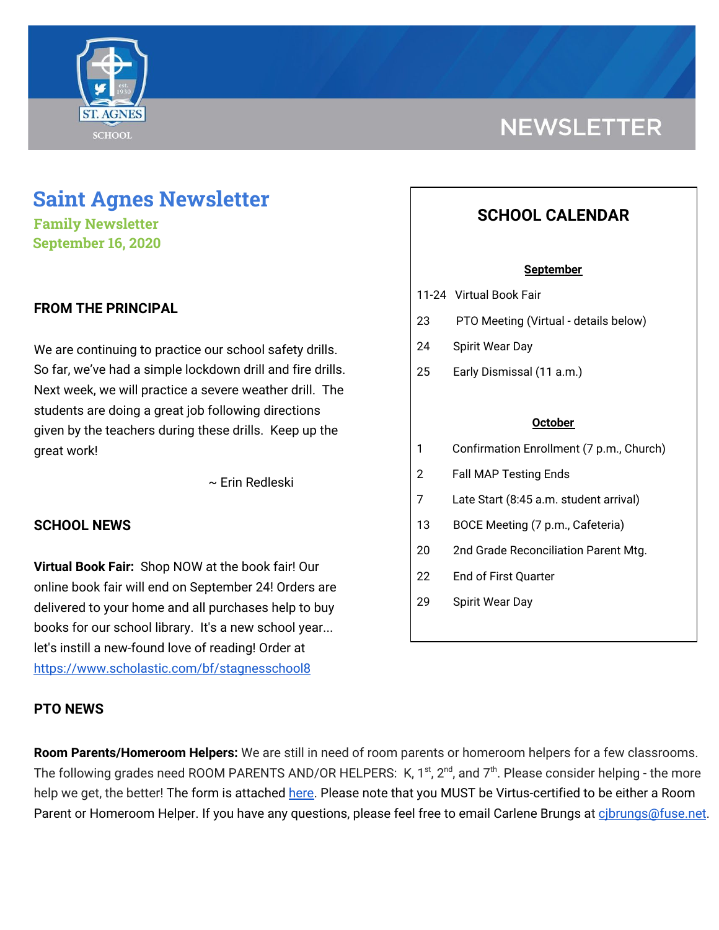

# **Saint Agnes Newsletter**

**Family Newsletter September 16, 2020**

## **FROM THE PRINCIPAL**

We are continuing to practice our school safety drills. So far, we've had a simple lockdown drill and fire drills. Next week, we will practice a severe weather drill. The students are doing a great job following directions given by the teachers during these drills. Keep up the great work!

~ Erin Redleski

## **SCHOOL NEWS**

**Virtual Book Fair:** Shop NOW at the book fair! Our online book fair will end on September 24! Orders are delivered to your home and all purchases help to buy books for our school library. It's a new school year... let's instill a new-found love of reading! Order at <https://www.scholastic.com/bf/stagnesschool8>

## **PTO NEWS**

## **NEWSLETTER**

## **SCHOOL CALENDAR**

#### **September**

- 11-24 Virtual Book Fair
- 23 PTO Meeting (Virtual details below)
- 24 Spirit Wear Day
- 25 Early Dismissal (11 a.m.)

#### **October**

- 1 Confirmation Enrollment (7 p.m., Church)
- 2 Fall MAP Testing Ends
- 7 Late Start (8:45 a.m. student arrival)
- 13 BOCE Meeting (7 p.m., Cafeteria)
- 20 2nd Grade Reconciliation Parent Mtg.
- 22 End of First Quarter
- 29 Spirit Wear Day

**Room Parents/Homeroom Helpers:** We are still in need of room parents or homeroom helpers for a few classrooms. The following grades need ROOM PARENTS AND/OR HELPERS: K, 1<sup>st</sup>, 2<sup>nd</sup>, and 7<sup>th</sup>. Please consider helping - the more help we get, the better! The form is attached [here.](https://school.saintagnes.com/wp-content/uploads/2020/09/Room-Parent-Signup-2020-21-Final.pdf) Please note that you MUST be Virtus-certified to be either a Room Parent or Homeroom Helper. If you have any questions, please feel free to email Carlene Brungs at cibrungs@fuse.net.